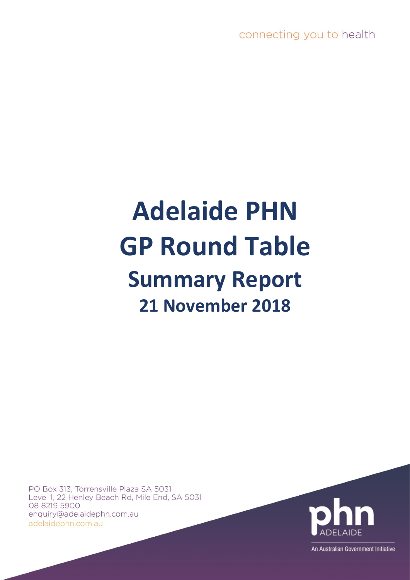connecting you to health

# **Adelaide PHN GP Round Table Summary Report 21 November 2018**

PO Box 313, Torrensville Plaza SA 5031 Level 1, 22 Henley Beach Rd, Mile End, SA 5031 08 8219 5900 enquiry@adelaidephn.com.au adelaidephn.com.au



An Australian Government Initiative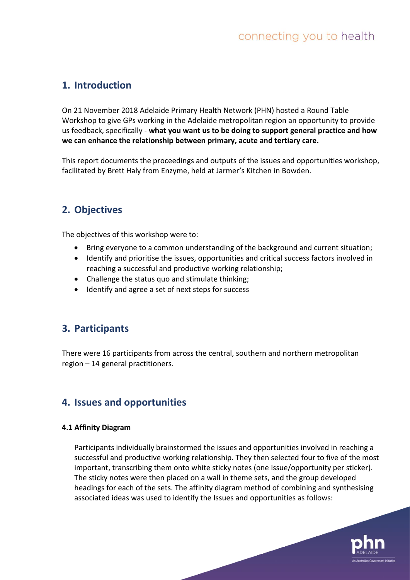### **1. Introduction**

On 21 November 2018 Adelaide Primary Health Network (PHN) hosted a Round Table Workshop to give GPs working in the Adelaide metropolitan region an opportunity to provide us feedback, specifically - **what you want us to be doing to support general practice and how we can enhance the relationship between primary, acute and tertiary care.**

This report documents the proceedings and outputs of the issues and opportunities workshop, facilitated by Brett Haly from Enzyme, held at Jarmer's Kitchen in Bowden.

# **2. Objectives**

The objectives of this workshop were to:

- Bring everyone to a common understanding of the background and current situation;
- Identify and prioritise the issues, opportunities and critical success factors involved in reaching a successful and productive working relationship;
- Challenge the status quo and stimulate thinking;
- Identify and agree a set of next steps for success

# **3. Participants**

There were 16 participants from across the central, southern and northern metropolitan region – 14 general practitioners.

# **4. Issues and opportunities**

#### **4.1 Affinity Diagram**

Participants individually brainstormed the issues and opportunities involved in reaching a successful and productive working relationship. They then selected four to five of the most important, transcribing them onto white sticky notes (one issue/opportunity per sticker). The sticky notes were then placed on a wall in theme sets, and the group developed headings for each of the sets. The affinity diagram method of combining and synthesising associated ideas was used to identify the Issues and opportunities as follows:

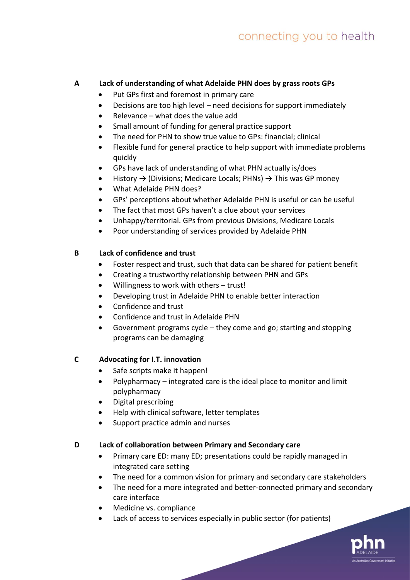#### **A Lack of understanding of what Adelaide PHN does by grass roots GPs**

- Put GPs first and foremost in primary care
- Decisions are too high level need decisions for support immediately
- Relevance what does the value add
- Small amount of funding for general practice support
- The need for PHN to show true value to GPs: financial; clinical
- Flexible fund for general practice to help support with immediate problems quickly
- GPs have lack of understanding of what PHN actually is/does
- History  $\rightarrow$  (Divisions; Medicare Locals; PHNs)  $\rightarrow$  This was GP money
- What Adelaide PHN does?
- GPs' perceptions about whether Adelaide PHN is useful or can be useful
- The fact that most GPs haven't a clue about your services
- Unhappy/territorial. GPs from previous Divisions, Medicare Locals
- Poor understanding of services provided by Adelaide PHN

#### **B Lack of confidence and trust**

- Foster respect and trust, such that data can be shared for patient benefit
- Creating a trustworthy relationship between PHN and GPs
- Willingness to work with others trust!
- Developing trust in Adelaide PHN to enable better interaction
- Confidence and trust
- Confidence and trust in Adelaide PHN
- Government programs cycle they come and go; starting and stopping programs can be damaging

#### **C Advocating for I.T. innovation**

- Safe scripts make it happen!
- Polypharmacy integrated care is the ideal place to monitor and limit polypharmacy
- Digital prescribing
- Help with clinical software, letter templates
- Support practice admin and nurses

#### **D Lack of collaboration between Primary and Secondary care**

- Primary care ED: many ED; presentations could be rapidly managed in integrated care setting
- The need for a common vision for primary and secondary care stakeholders
- The need for a more integrated and better-connected primary and secondary care interface
- Medicine vs. compliance
- Lack of access to services especially in public sector (for patients)

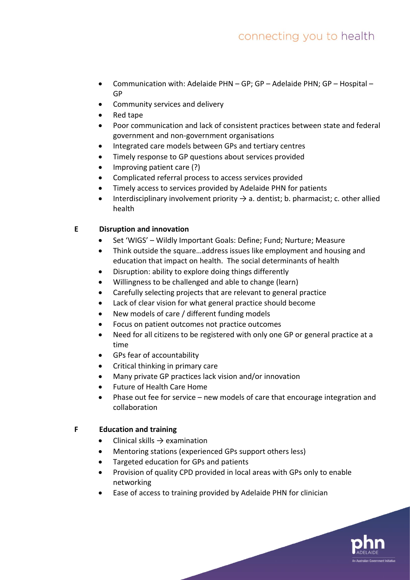- Communication with: Adelaide PHN GP; GP Adelaide PHN; GP Hospital GP
- Community services and delivery
- Red tape
- Poor communication and lack of consistent practices between state and federal government and non-government organisations
- Integrated care models between GPs and tertiary centres
- Timely response to GP questions about services provided
- Improving patient care (?)
- Complicated referral process to access services provided
- Timely access to services provided by Adelaide PHN for patients
- Interdisciplinary involvement priority  $\rightarrow$  a. dentist; b. pharmacist; c. other allied health

#### **E Disruption and innovation**

- Set 'WIGS' Wildly Important Goals: Define; Fund; Nurture; Measure
- Think outside the square…address issues like employment and housing and education that impact on health. The social determinants of health
- Disruption: ability to explore doing things differently
- Willingness to be challenged and able to change (learn)
- Carefully selecting projects that are relevant to general practice
- Lack of clear vision for what general practice should become
- New models of care / different funding models
- Focus on patient outcomes not practice outcomes
- Need for all citizens to be registered with only one GP or general practice at a time
- GPs fear of accountability
- Critical thinking in primary care
- Many private GP practices lack vision and/or innovation
- Future of Health Care Home
- Phase out fee for service new models of care that encourage integration and collaboration

#### **F Education and training**

- Clinical skills  $\rightarrow$  examination
- Mentoring stations (experienced GPs support others less)
- Targeted education for GPs and patients
- Provision of quality CPD provided in local areas with GPs only to enable networking
- Ease of access to training provided by Adelaide PHN for clinician

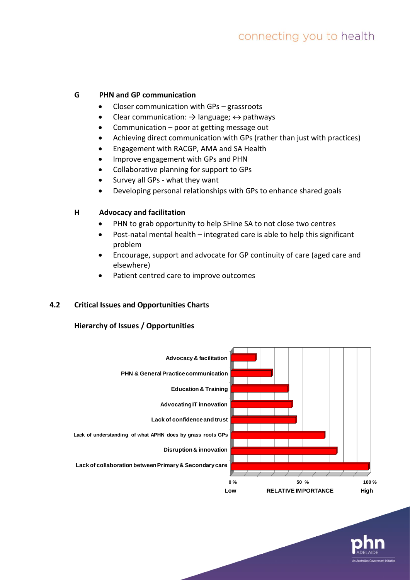# connecting you to health

#### **G PHN and GP communication**

- Closer communication with GPs grassroots
- Clear communication:  $\rightarrow$  language;  $\leftrightarrow$  pathways
- Communication poor at getting message out
- Achieving direct communication with GPs (rather than just with practices)
- Engagement with RACGP, AMA and SA Health
- Improve engagement with GPs and PHN
- Collaborative planning for support to GPs
- Survey all GPs what they want
- Developing personal relationships with GPs to enhance shared goals

#### **H Advocacy and facilitation**

- PHN to grab opportunity to help SHine SA to not close two centres
- Post-natal mental health integrated care is able to help this significant problem
- Encourage, support and advocate for GP continuity of care (aged care and elsewhere)
- Patient centred care to improve outcomes

#### **4.2 Critical Issues and Opportunities Charts**

#### **Hierarchy of Issues / Opportunities**



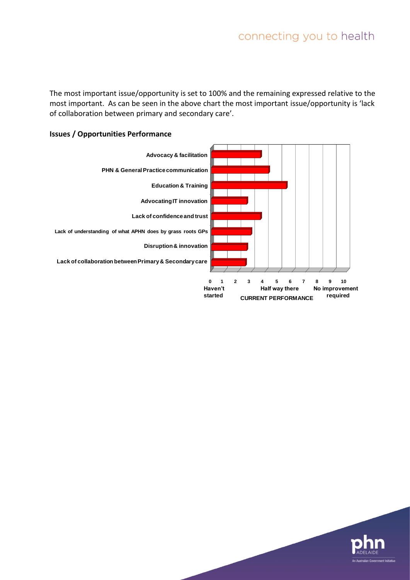The most important issue/opportunity is set to 100% and the remaining expressed relative to the most important. As can be seen in the above chart the most important issue/opportunity is 'lack of collaboration between primary and secondary care'.

#### **Issues / Opportunities Performance**